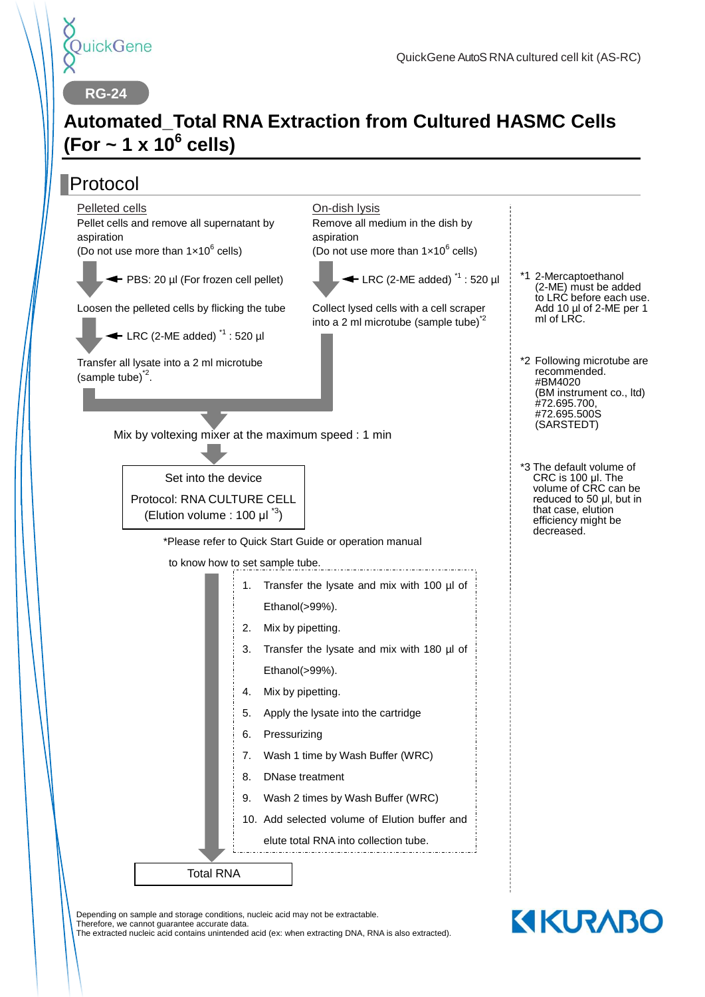

**RG-24**

## **Automated\_Total RNA Extraction from Cultured HASMC Cells (For ~ 1 x 10<sup>6</sup> cells)**

#### Protocol Mix by voltexing mixer at the maximum speed : 1 min \*Please refer to Quick Start Guide or operation manual to know how to set sample tube. \*1 2-Mercaptoethanol \*3 The default volume of On-dish lysis Remove all medium in the dish by aspiration (Do not use more than  $1 \times 10^6$  cells)  $\blacktriangleleft$  LRC (2-ME added)<sup> $*1$ </sup> : 520 ul Collect lysed cells with a cell scraper into a 2 ml microtube (sample tube) $2^2$ Pelleted cells Pellet cells and remove all supernatant by aspiration (Do not use more than  $1 \times 10^6$  cells) ← PBS: 20 ul (For frozen cell pellet) Loosen the pelleted cells by flicking the tube  $\leftarrow$  LRC (2-ME added)<sup> $1$ </sup> : 520 ul (2-ME) must be added ml of LRC. CRC is 100 μl. The volume of CRC can be reduced to 50 μl, but in that case, elution efficiency might be decreased. Total RNA 1. Transfer the lysate and mix with 100 µl of Ethanol(>99%). 2. Mix by pipetting. 3. Transfer the lysate and mix with 180 µl of Ethanol(>99%). 4. Mix by pipetting. 5. Apply the lysate into the cartridge 6. Pressurizing 7. Wash 1 time by Wash Buffer (WRC) 8. DNase treatment 9. Wash 2 times by Wash Buffer (WRC) 10. Add selected volume of Elution buffer and elute total RNA into collection tube. Transfer all lysate into a 2 ml microtube  $(sample tube)^2$ . recommended. #BM4020 #72.695.700, #72.695.500S (SARSTEDT) Set into the device Protocol: RNA CULTURE CELL (Elution volume : 100  $\mu I^{3}$ )

Depending on sample and storage conditions, nucleic acid may not be extractable.

Therefore, we cannot guarantee accurate data.

The extracted nucleic acid contains unintended acid (ex: when extracting DNA, RNA is also extracted).

- to LRC before each use. Add 10 µl of 2-ME per 1
- \*2 Following microtube are (BM instrument co., ltd)

**KIKURABO**